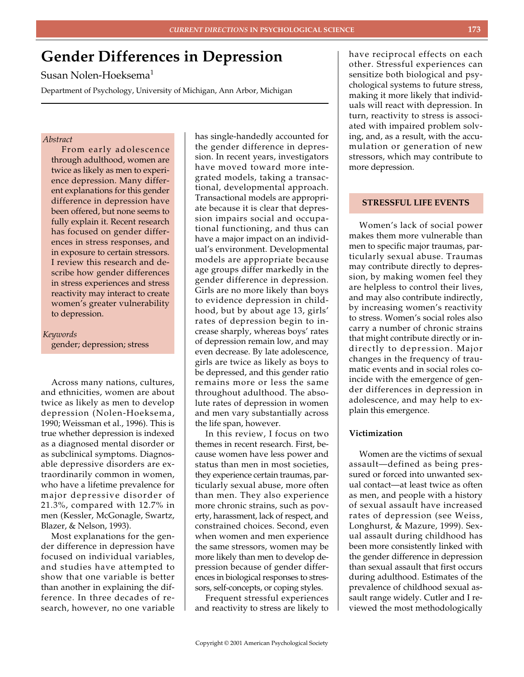# **Gender Differences in Depression**

Susan Nolen-Hoeksema<sup>1</sup>

Department of Psychology, University of Michigan, Ann Arbor, Michigan

#### *Abstract*

From early adolescence through adulthood, women are twice as likely as men to experience depression. Many different explanations for this gender difference in depression have been offered, but none seems to fully explain it. Recent research has focused on gender differences in stress responses, and in exposure to certain stressors. I review this research and describe how gender differences in stress experiences and stress reactivity may interact to create women's greater vulnerability to depression.

# *Keywords* gender; depression; stress

Across many nations, cultures, and ethnicities, women are about twice as likely as men to develop depression (Nolen-Hoeksema, 1990; Weissman et al., 1996). This is true whether depression is indexed as a diagnosed mental disorder or as subclinical symptoms. Diagnosable depressive disorders are extraordinarily common in women, who have a lifetime prevalence for major depressive disorder of 21.3%, compared with 12.7% in men (Kessler, McGonagle, Swartz, Blazer, & Nelson, 1993).

Most explanations for the gender difference in depression have focused on individual variables, and studies have attempted to show that one variable is better than another in explaining the difference. In three decades of research, however, no one variable

has single-handedly accounted for the gender difference in depression. In recent years, investigators have moved toward more integrated models, taking a transactional, developmental approach. Transactional models are appropriate because it is clear that depression impairs social and occupational functioning, and thus can have a major impact on an individual's environment. Developmental models are appropriate because age groups differ markedly in the gender difference in depression. Girls are no more likely than boys to evidence depression in childhood, but by about age 13, girls' rates of depression begin to increase sharply, whereas boys' rates of depression remain low, and may even decrease. By late adolescence, girls are twice as likely as boys to be depressed, and this gender ratio remains more or less the same throughout adulthood. The absolute rates of depression in women and men vary substantially across the life span, however.

In this review, I focus on two themes in recent research. First, because women have less power and status than men in most societies, they experience certain traumas, particularly sexual abuse, more often than men. They also experience more chronic strains, such as poverty, harassment, lack of respect, and constrained choices. Second, even when women and men experience the same stressors, women may be more likely than men to develop depression because of gender differences in biological responses to stressors, self-concepts, or coping styles.

Frequent stressful experiences and reactivity to stress are likely to have reciprocal effects on each other. Stressful experiences can sensitize both biological and psychological systems to future stress, making it more likely that individuals will react with depression. In turn, reactivity to stress is associated with impaired problem solving, and, as a result, with the accumulation or generation of new stressors, which may contribute to more depression.

### **STRESSFUL LIFE EVENTS**

Women's lack of social power makes them more vulnerable than men to specific major traumas, particularly sexual abuse. Traumas may contribute directly to depression, by making women feel they are helpless to control their lives, and may also contribute indirectly, by increasing women's reactivity to stress. Women's social roles also carry a number of chronic strains that might contribute directly or indirectly to depression. Major changes in the frequency of traumatic events and in social roles coincide with the emergence of gender differences in depression in adolescence, and may help to explain this emergence.

# **Victimization**

Women are the victims of sexual assault—defined as being pressured or forced into unwanted sexual contact—at least twice as often as men, and people with a history of sexual assault have increased rates of depression (see Weiss, Longhurst, & Mazure, 1999). Sexual assault during childhood has been more consistently linked with the gender difference in depression than sexual assault that first occurs during adulthood. Estimates of the prevalence of childhood sexual assault range widely. Cutler and I reviewed the most methodologically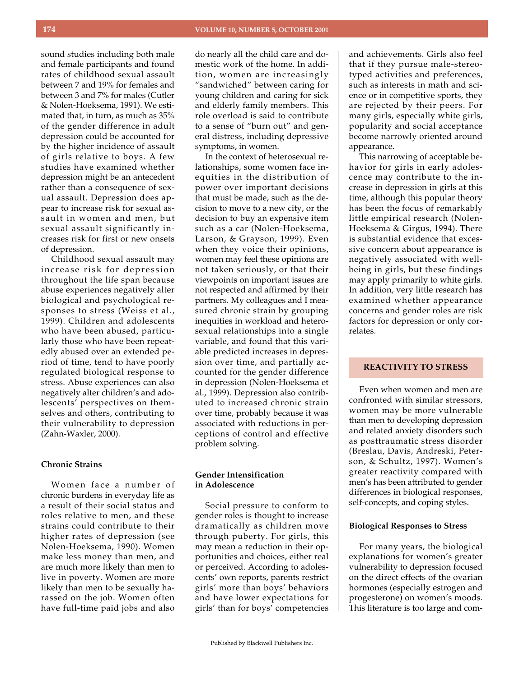sound studies including both male and female participants and found rates of childhood sexual assault between 7 and 19% for females and between 3 and 7% for males (Cutler & Nolen-Hoeksema, 1991). We estimated that, in turn, as much as 35% of the gender difference in adult depression could be accounted for by the higher incidence of assault of girls relative to boys. A few studies have examined whether depression might be an antecedent rather than a consequence of sexual assault. Depression does appear to increase risk for sexual assault in women and men, but sexual assault significantly increases risk for first or new onsets of depression.

Childhood sexual assault may increase risk for depression throughout the life span because abuse experiences negatively alter biological and psychological responses to stress (Weiss et al., 1999). Children and adolescents who have been abused, particularly those who have been repeatedly abused over an extended period of time, tend to have poorly regulated biological response to stress. Abuse experiences can also negatively alter children's and adolescents' perspectives on themselves and others, contributing to their vulnerability to depression (Zahn-Waxler, 2000).

## **Chronic Strains**

Women face a number of chronic burdens in everyday life as a result of their social status and roles relative to men, and these strains could contribute to their higher rates of depression (see Nolen-Hoeksema, 1990). Women make less money than men, and are much more likely than men to live in poverty. Women are more likely than men to be sexually harassed on the job. Women often have full-time paid jobs and also

do nearly all the child care and domestic work of the home. In addition, women are increasingly "sandwiched" between caring for young children and caring for sick and elderly family members. This role overload is said to contribute to a sense of "burn out" and general distress, including depressive symptoms, in women.

In the context of heterosexual relationships, some women face inequities in the distribution of power over important decisions that must be made, such as the decision to move to a new city, or the decision to buy an expensive item such as a car (Nolen-Hoeksema, Larson, & Grayson, 1999). Even when they voice their opinions, women may feel these opinions are not taken seriously, or that their viewpoints on important issues are not respected and affirmed by their partners. My colleagues and I measured chronic strain by grouping inequities in workload and heterosexual relationships into a single variable, and found that this variable predicted increases in depression over time, and partially accounted for the gender difference in depression (Nolen-Hoeksema et al., 1999). Depression also contributed to increased chronic strain over time, probably because it was associated with reductions in perceptions of control and effective problem solving.

# **Gender Intensification in Adolescence**

Social pressure to conform to gender roles is thought to increase dramatically as children move through puberty. For girls, this may mean a reduction in their opportunities and choices, either real or perceived. According to adolescents' own reports, parents restrict girls' more than boys' behaviors and have lower expectations for girls' than for boys' competencies

and achievements. Girls also feel that if they pursue male-stereotyped activities and preferences, such as interests in math and science or in competitive sports, they are rejected by their peers. For many girls, especially white girls, popularity and social acceptance become narrowly oriented around appearance.

This narrowing of acceptable behavior for girls in early adolescence may contribute to the increase in depression in girls at this time, although this popular theory has been the focus of remarkably little empirical research (Nolen-Hoeksema & Girgus, 1994). There is substantial evidence that excessive concern about appearance is negatively associated with wellbeing in girls, but these findings may apply primarily to white girls. In addition, very little research has examined whether appearance concerns and gender roles are risk factors for depression or only correlates.

## **REACTIVITY TO STRESS**

Even when women and men are confronted with similar stressors, women may be more vulnerable than men to developing depression and related anxiety disorders such as posttraumatic stress disorder (Breslau, Davis, Andreski, Peterson, & Schultz, 1997). Women's greater reactivity compared with men's has been attributed to gender differences in biological responses, self-concepts, and coping styles.

#### **Biological Responses to Stress**

For many years, the biological explanations for women's greater vulnerability to depression focused on the direct effects of the ovarian hormones (especially estrogen and progesterone) on women's moods. This literature is too large and com-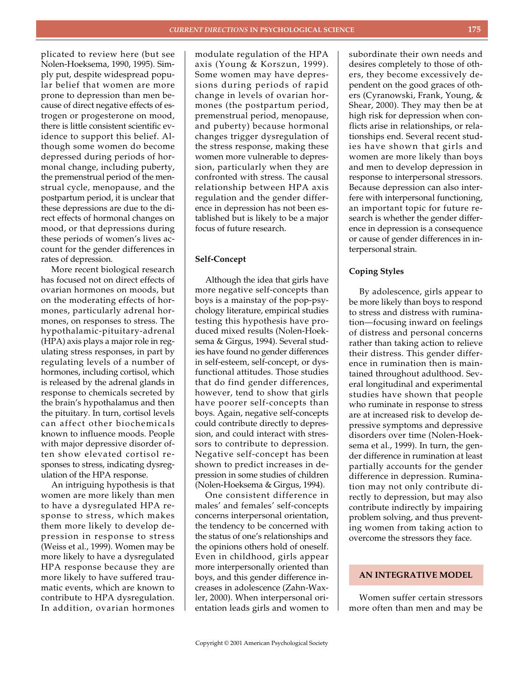plicated to review here (but see Nolen-Hoeksema, 1990, 1995). Simply put, despite widespread popular belief that women are more prone to depression than men because of direct negative effects of estrogen or progesterone on mood, there is little consistent scientific evidence to support this belief. Although some women do become depressed during periods of hormonal change, including puberty, the premenstrual period of the menstrual cycle, menopause, and the postpartum period, it is unclear that these depressions are due to the direct effects of hormonal changes on mood, or that depressions during these periods of women's lives account for the gender differences in rates of depression.

More recent biological research has focused not on direct effects of ovarian hormones on moods, but on the moderating effects of hormones, particularly adrenal hormones, on responses to stress. The hypothalamic-pituitary-adrenal (HPA) axis plays a major role in regulating stress responses, in part by regulating levels of a number of hormones, including cortisol, which is released by the adrenal glands in response to chemicals secreted by the brain's hypothalamus and then the pituitary. In turn, cortisol levels can affect other biochemicals known to influence moods. People with major depressive disorder often show elevated cortisol responses to stress, indicating dysregulation of the HPA response.

An intriguing hypothesis is that women are more likely than men to have a dysregulated HPA response to stress, which makes them more likely to develop depression in response to stress (Weiss et al., 1999). Women may be more likely to have a dysregulated HPA response because they are more likely to have suffered traumatic events, which are known to contribute to HPA dysregulation. In addition, ovarian hormones

modulate regulation of the HPA axis (Young & Korszun, 1999). Some women may have depressions during periods of rapid change in levels of ovarian hormones (the postpartum period, premenstrual period, menopause, and puberty) because hormonal changes trigger dysregulation of the stress response, making these women more vulnerable to depression, particularly when they are confronted with stress. The causal relationship between HPA axis regulation and the gender difference in depression has not been established but is likely to be a major focus of future research.

#### **Self-Concept**

Although the idea that girls have more negative self-concepts than boys is a mainstay of the pop-psychology literature, empirical studies testing this hypothesis have produced mixed results (Nolen-Hoeksema & Girgus, 1994). Several studies have found no gender differences in self-esteem, self-concept, or dysfunctional attitudes. Those studies that do find gender differences, however, tend to show that girls have poorer self-concepts than boys. Again, negative self-concepts could contribute directly to depression, and could interact with stressors to contribute to depression. Negative self-concept has been shown to predict increases in depression in some studies of children (Nolen-Hoeksema & Girgus, 1994).

One consistent difference in males' and females' self-concepts concerns interpersonal orientation, the tendency to be concerned with the status of one's relationships and the opinions others hold of oneself. Even in childhood, girls appear more interpersonally oriented than boys, and this gender difference increases in adolescence (Zahn-Waxler, 2000). When interpersonal orientation leads girls and women to

subordinate their own needs and desires completely to those of others, they become excessively dependent on the good graces of others (Cyranowski, Frank, Young, & Shear, 2000). They may then be at high risk for depression when conflicts arise in relationships, or relationships end. Several recent studies have shown that girls and women are more likely than boys and men to develop depression in response to interpersonal stressors. Because depression can also interfere with interpersonal functioning, an important topic for future research is whether the gender difference in depression is a consequence or cause of gender differences in interpersonal strain.

## **Coping Styles**

By adolescence, girls appear to be more likely than boys to respond to stress and distress with rumination—focusing inward on feelings of distress and personal concerns rather than taking action to relieve their distress. This gender difference in rumination then is maintained throughout adulthood. Several longitudinal and experimental studies have shown that people who ruminate in response to stress are at increased risk to develop depressive symptoms and depressive disorders over time (Nolen-Hoeksema et al., 1999). In turn, the gender difference in rumination at least partially accounts for the gender difference in depression. Rumination may not only contribute directly to depression, but may also contribute indirectly by impairing problem solving, and thus preventing women from taking action to overcome the stressors they face.

### **AN INTEGRATIVE MODEL**

Women suffer certain stressors more often than men and may be